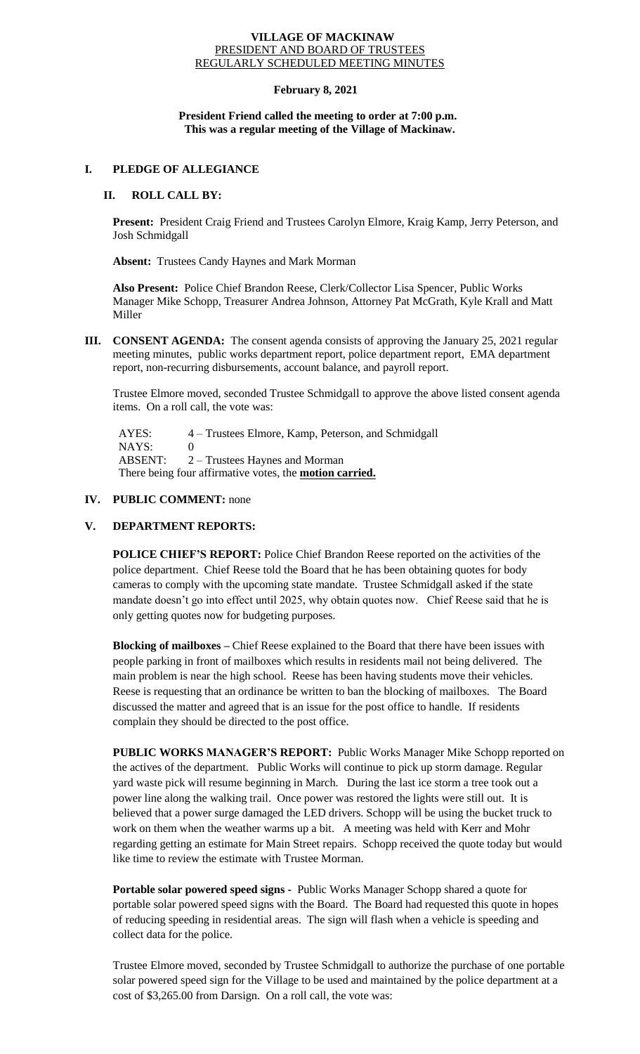#### **VILLAGE OF MACKINAW** PRESIDENT AND BOARD OF TRUSTEES REGULARLY SCHEDULED MEETING MINUTES

# **February 8, 2021**

# **President Friend called the meeting to order at 7:00 p.m. This was a regular meeting of the Village of Mackinaw.**

### **I. PLEDGE OF ALLEGIANCE**

# **II. ROLL CALL BY:**

**Present:** President Craig Friend and Trustees Carolyn Elmore, Kraig Kamp, Jerry Peterson, and Josh Schmidgall

**Absent:** Trustees Candy Haynes and Mark Morman

**Also Present:** Police Chief Brandon Reese, Clerk/Collector Lisa Spencer, Public Works Manager Mike Schopp, Treasurer Andrea Johnson, Attorney Pat McGrath, Kyle Krall and Matt Miller

**III. CONSENT AGENDA:** The consent agenda consists of approving the January 25, 2021 regular meeting minutes, public works department report, police department report, EMA department report, non-recurring disbursements, account balance, and payroll report.

Trustee Elmore moved, seconded Trustee Schmidgall to approve the above listed consent agenda items. On a roll call, the vote was:

 AYES: 4 – Trustees Elmore, Kamp, Peterson, and Schmidgall NAYS: 0 ABSENT: 2 – Trustees Haynes and Morman There being four affirmative votes, the **motion carried.**

# **IV. PUBLIC COMMENT:** none

#### **V. DEPARTMENT REPORTS:**

**POLICE CHIEF'S REPORT:** Police Chief Brandon Reese reported on the activities of the police department. Chief Reese told the Board that he has been obtaining quotes for body cameras to comply with the upcoming state mandate. Trustee Schmidgall asked if the state mandate doesn't go into effect until 2025, why obtain quotes now. Chief Reese said that he is only getting quotes now for budgeting purposes.

**Blocking of mailboxes –** Chief Reese explained to the Board that there have been issues with people parking in front of mailboxes which results in residents mail not being delivered. The main problem is near the high school. Reese has been having students move their vehicles. Reese is requesting that an ordinance be written to ban the blocking of mailboxes. The Board discussed the matter and agreed that is an issue for the post office to handle. If residents complain they should be directed to the post office.

**PUBLIC WORKS MANAGER'S REPORT:** Public Works Manager Mike Schopp reported on the actives of the department. Public Works will continue to pick up storm damage. Regular yard waste pick will resume beginning in March. During the last ice storm a tree took out a power line along the walking trail. Once power was restored the lights were still out. It is believed that a power surge damaged the LED drivers. Schopp will be using the bucket truck to work on them when the weather warms up a bit. A meeting was held with Kerr and Mohr regarding getting an estimate for Main Street repairs. Schopp received the quote today but would like time to review the estimate with Trustee Morman.

**Portable solar powered speed signs -** Public Works Manager Schopp shared a quote for portable solar powered speed signs with the Board. The Board had requested this quote in hopes of reducing speeding in residential areas. The sign will flash when a vehicle is speeding and collect data for the police.

Trustee Elmore moved, seconded by Trustee Schmidgall to authorize the purchase of one portable solar powered speed sign for the Village to be used and maintained by the police department at a cost of \$3,265.00 from Darsign. On a roll call, the vote was: